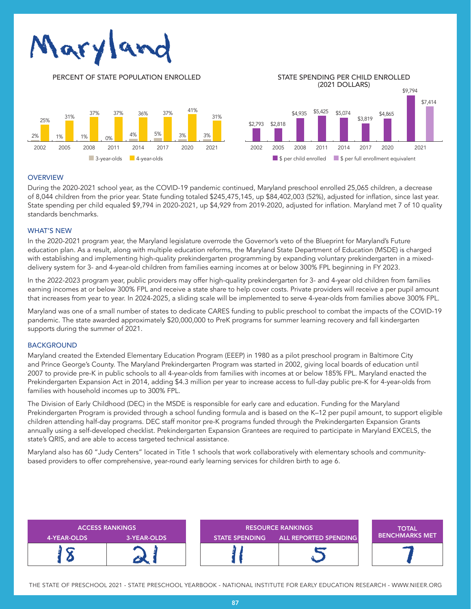

PERCENT OF STATE POPULATION ENROLLED STATE SPENDING PER CHILD ENROLLED (2021 DOLLARS) \$9,794



# **OVERVIEW**

During the 2020-2021 school year, as the COVID-19 pandemic continued, Maryland preschool enrolled 25,065 children, a decrease of 8,044 children from the prior year. State funding totaled \$245,475,145, up \$84,402,003 (52%), adjusted for inflation, since last year. State spending per child equaled \$9,794 in 2020-2021, up \$4,929 from 2019-2020, adjusted for inflation. Maryland met 7 of 10 quality standards benchmarks.

## WHAT'S NEW

In the 2020-2021 program year, the Maryland legislature overrode the Governor's veto of the Blueprint for Maryland's Future education plan. As a result, along with multiple education reforms, the Maryland State Department of Education (MSDE) is charged with establishing and implementing high-quality prekindergarten programming by expanding voluntary prekindergarten in a mixeddelivery system for 3- and 4-year-old children from families earning incomes at or below 300% FPL beginning in FY 2023.

In the 2022-2023 program year, public providers may offer high-quality prekindergarten for 3- and 4-year old children from families earning incomes at or below 300% FPL and receive a state share to help cover costs. Private providers will receive a per pupil amount that increases from year to year. In 2024-2025, a sliding scale will be implemented to serve 4-year-olds from families above 300% FPL.

Maryland was one of a small number of states to dedicate CARES funding to public preschool to combat the impacts of the COVID-19 pandemic. The state awarded approximately \$20,000,000 to PreK programs for summer learning recovery and fall kindergarten supports during the summer of 2021.

#### **BACKGROUND**

Maryland created the Extended Elementary Education Program (EEEP) in 1980 as a pilot preschool program in Baltimore City and Prince George's County. The Maryland Prekindergarten Program was started in 2002, giving local boards of education until 2007 to provide pre-K in public schools to all 4-year-olds from families with incomes at or below 185% FPL. Maryland enacted the Prekindergarten Expansion Act in 2014, adding \$4.3 million per year to increase access to full-day public pre-K for 4-year-olds from families with household incomes up to 300% FPL.

The Division of Early Childhood (DEC) in the MSDE is responsible for early care and education. Funding for the Maryland Prekindergarten Program is provided through a school funding formula and is based on the K–12 per pupil amount, to support eligible children attending half-day programs. DEC staff monitor pre-K programs funded through the Prekindergarten Expansion Grants annually using a self-developed checklist. Prekindergarten Expansion Grantees are required to participate in Maryland EXCELS, the state's QRIS, and are able to access targeted technical assistance.

Maryland also has 60 "Judy Centers" located in Title 1 schools that work collaboratively with elementary schools and communitybased providers to offer comprehensive, year-round early learning services for children birth to age 6.



THE STATE OF PRESCHOOL 2021 - STATE PRESCHOOL YEARBOOK - NATIONAL INSTITUTE FOR EARLY EDUCATION RESEARCH - WWW.NIEER.ORG